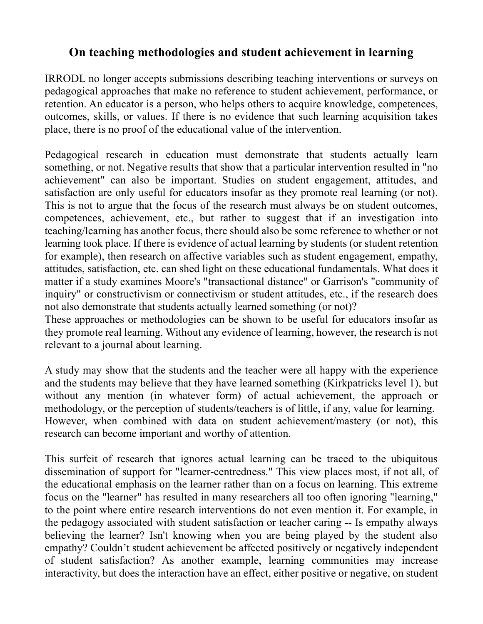## **On teaching methodologies and student achievement in learning**

IRRODL no longer accepts submissions describing teaching interventions or surveys on pedagogical approaches that make no reference to student achievement, performance, or retention. An educator is a person, who helps others to acquire knowledge, competences, outcomes, skills, or values. If there is no evidence that such learning acquisition takes place, there is no proof of the educational value of the intervention.

Pedagogical research in education must demonstrate that students actually learn something, or not. Negative results that show that a particular intervention resulted in "no achievement" can also be important. Studies on student engagement, attitudes, and satisfaction are only useful for educators insofar as they promote real learning (or not). This is not to argue that the focus of the research must always be on student outcomes, competences, achievement, etc., but rather to suggest that if an investigation into teaching/learning has another focus, there should also be some reference to whether or not learning took place. If there is evidence of actual learning by students (or student retention for example), then research on affective variables such as student engagement, empathy, attitudes, satisfaction, etc. can shed light on these educational fundamentals. What does it matter if a study examines Moore's "transactional distance" or Garrison's "community of inquiry" or constructivism or connectivism or student attitudes, etc., if the research does not also demonstrate that students actually learned something (or not)?

These approaches or methodologies can be shown to be useful for educators insofar as they promote real learning. Without any evidence of learning, however, the research is not relevant to a journal about learning.

A study may show that the students and the teacher were all happy with the experience and the students may believe that they have learned something (Kirkpatricks level 1), but without any mention (in whatever form) of actual achievement, the approach or methodology, or the perception of students/teachers is of little, if any, value for learning. However, when combined with data on student achievement/mastery (or not), this research can become important and worthy of attention.

This surfeit of research that ignores actual learning can be traced to the ubiquitous dissemination of support for "learner-centredness." This view places most, if not all, of the educational emphasis on the learner rather than on a focus on learning. This extreme focus on the "learner" has resulted in many researchers all too often ignoring "learning," to the point where entire research interventions do not even mention it. For example, in the pedagogy associated with student satisfaction or teacher caring -- Is empathy always believing the learner? Isn't knowing when you are being played by the student also empathy? Couldn't student achievement be affected positively or negatively independent of student satisfaction? As another example, learning communities may increase interactivity, but does the interaction have an effect, either positive or negative, on student